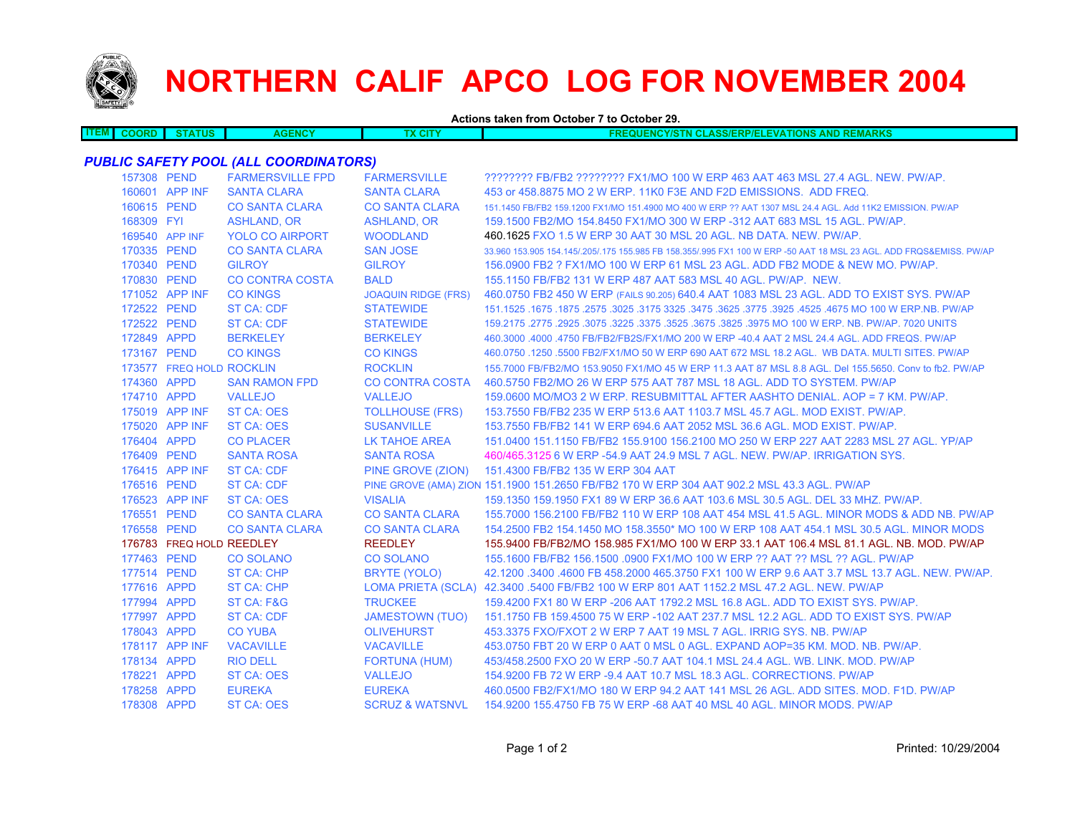

# **NORTHERN CALIF APCO LOG FOR NOVEMBER 2004**

**Actions taken from October 7 to October 29.**

| ------ | . | THS | ≣NC<br>. | <b>CONTRACT</b><br>ac i l' | $-11$<br>47.<br>וווכ<br>.<br>эни<br>n na m<br>an a<br>.<br>-177-18145<br>93 F / C<br>.<br>. .<br>.<br>. |
|--------|---|-----|----------|----------------------------|---------------------------------------------------------------------------------------------------------|
|        |   |     |          |                            |                                                                                                         |

### *PUBLIC SAFETY POOL (ALL COORDINATORS)*

|            | 157308 PEND              | <b>FARMERSVILLE FPD</b> | <b>FARMERSVILLE</b>        | ???????? FB/FB2 ???????? FX1/MO 100 W ERP 463 AAT 463 MSL 27.4 AGL. NEW. PW/AP.                                     |
|------------|--------------------------|-------------------------|----------------------------|---------------------------------------------------------------------------------------------------------------------|
|            | 160601 APP INF           | <b>SANTA CLARA</b>      | <b>SANTA CLARA</b>         | 453 or 458,8875 MO 2 W ERP, 11K0 F3E AND F2D EMISSIONS. ADD FREQ.                                                   |
|            | 160615 PEND              | <b>CO SANTA CLARA</b>   | <b>CO SANTA CLARA</b>      | 151.1450 FB/FB2 159.1200 FX1/MO 151.4900 MO 400 W ERP ?? AAT 1307 MSL 24.4 AGL, Add 11K2 EMISSION, PW/AP            |
| 168309 FYI |                          | <b>ASHLAND, OR</b>      | <b>ASHLAND, OR</b>         | 159,1500 FB2/MO 154,8450 FX1/MO 300 W ERP -312 AAT 683 MSL 15 AGL, PW/AP.                                           |
|            | 169540 APP INF           | <b>YOLO CO AIRPORT</b>  | <b>WOODLAND</b>            | 460.1625 FXO 1.5 W ERP 30 AAT 30 MSL 20 AGL, NB DATA, NEW, PW/AP.                                                   |
|            | 170335 PEND              | <b>CO SANTA CLARA</b>   | <b>SAN JOSE</b>            | 33.960 153.905 154.145/.205/.175 155.985 FB 158.355/.995 FX1 100 W ERP -50 AAT 18 MSL 23 AGL. ADD FRQS&EMISS. PW/AP |
|            | 170340 PEND              | <b>GILROY</b>           | <b>GILROY</b>              | 156,0900 FB2 ? FX1/MO 100 W ERP 61 MSL 23 AGL. ADD FB2 MODE & NEW MO, PW/AP.                                        |
|            | 170830 PEND              | <b>CO CONTRA COSTA</b>  | <b>BALD</b>                | 155,1150 FB/FB2 131 W ERP 487 AAT 583 MSL 40 AGL, PW/AP, NEW.                                                       |
|            | 171052 APP INF           | <b>CO KINGS</b>         | <b>JOAQUIN RIDGE (FRS)</b> | 460.0750 FB2 450 W ERP (FAILS 90.205) 640.4 AAT 1083 MSL 23 AGL. ADD TO EXIST SYS. PW/AP                            |
|            | 172522 PEND              | <b>ST CA: CDF</b>       | <b>STATEWIDE</b>           | 167.1525 .1675 .1675 .3625 .3625 .3775 .3925 .3775 .3925 .3775 .3925 .3775 .3925 .1675 .1675 .1679 .1679 .167       |
|            | 172522 PEND              | <b>ST CA: CDF</b>       | <b>STATEWIDE</b>           | 159,2175,2775,2925,3075,3225,3375,3525,3675,3825,3975 MO 100 W ERP, NB, PW/AP, 7020 UNITS                           |
|            | 172849 APPD              | <b>BERKELEY</b>         | <b>BERKELEY</b>            | 460.3000 .4000 .4750 FB/FB2/FB2S/FX1/MO 200 W ERP -40.4 AAT 2 MSL 24.4 AGL. ADD FREQS. PW/AP                        |
|            | 173167 PEND              | <b>CO KINGS</b>         | <b>CO KINGS</b>            | 460.0750 .1250 .5500 FB2/FX1/MO 50 W ERP 690 AAT 672 MSL 18.2 AGL. WB DATA. MULTI SITES. PW/AP                      |
|            | 173577 FREQ HOLD ROCKLIN |                         | <b>ROCKLIN</b>             | 155,7000 FB/FB2/MO 153,9050 FX1/MO 45 W ERP 11.3 AAT 87 MSL 8.8 AGL. Del 155,5650. Conv to fb2, PW/AP               |
|            | 174360 APPD              | <b>SAN RAMON FPD</b>    | <b>CO CONTRA COSTA</b>     | 460.5750 FB2/MO 26 W ERP 575 AAT 787 MSL 18 AGL. ADD TO SYSTEM. PW/AP                                               |
|            | 174710 APPD              | <b>VALLEJO</b>          | <b>VALLEJO</b>             | 159,0600 MO/MO3 2 W ERP. RESUBMITTAL AFTER AASHTO DENIAL, AOP = 7 KM, PW/AP.                                        |
|            | 175019 APP INF           | <b>ST CA: OES</b>       | <b>TOLLHOUSE (FRS)</b>     | 153.7550 FB/FB2 235 W ERP 513.6 AAT 1103.7 MSL 45.7 AGL. MOD EXIST. PW/AP.                                          |
|            | 175020 APP INF           | <b>ST CA: OES</b>       | <b>SUSANVILLE</b>          | 153.7550 FB/FB2 141 W ERP 694.6 AAT 2052 MSL 36.6 AGL, MOD EXIST, PW/AP.                                            |
|            | 176404 APPD              | <b>CO PLACER</b>        | LK TAHOE AREA              | 151,0400 151,1150 FB/FB2 155,9100 156,2100 MO 250 W ERP 227 AAT 2283 MSL 27 AGL, YP/AP                              |
|            | 176409 PEND              | <b>SANTA ROSA</b>       | <b>SANTA ROSA</b>          | 460/465.3125 6 W ERP -54.9 AAT 24.9 MSL 7 AGL. NEW. PW/AP. IRRIGATION SYS.                                          |
|            | 176415 APP INF           | <b>ST CA: CDF</b>       | PINE GROVE (ZION)          | 151.4300 FB/FB2 135 W ERP 304 AAT                                                                                   |
|            | 176516 PEND              | <b>ST CA: CDF</b>       |                            | PINE GROVE (AMA) ZION 151.1900 151.2650 FB/FB2 170 W ERP 304 AAT 902.2 MSL 43.3 AGL. PW/AP                          |
|            | 176523 APP INF           | <b>ST CA: OES</b>       | <b>VISALIA</b>             | 159.1350 159.1950 FX1 89 W ERP 36.6 AAT 103.6 MSL 30.5 AGL, DEL 33 MHZ, PW/AP,                                      |
|            | 176551 PEND              | <b>CO SANTA CLARA</b>   | <b>CO SANTA CLARA</b>      | 155,7000 156,2100 FB/FB2 110 W ERP 108 AAT 454 MSL 41.5 AGL, MINOR MODS & ADD NB, PW/AP                             |
|            | 176558 PEND              | <b>CO SANTA CLARA</b>   | <b>CO SANTA CLARA</b>      | 154,2500 FB2 154,1450 MO 158,3550* MO 100 W ERP 108 AAT 454,1 MSL 30.5 AGL, MINOR MODS                              |
|            | 176783 FREQ HOLD REEDLEY |                         | <b>REEDLEY</b>             | 155.9400 FB/FB2/MO 158.985 FX1/MO 100 W ERP 33.1 AAT 106.4 MSL 81.1 AGL. NB. MOD. PW/AP                             |
|            | 177463 PEND              | <b>CO SOLANO</b>        | <b>CO SOLANO</b>           | 155.1600 FB/FB2 156.1500 .0900 FX1/MO 100 W ERP ?? AAT ?? MSL ?? AGL. PW/AP                                         |
|            | 177514 PEND              | ST CA: CHP              | BRYTE (YOLO)               | 42.1200 .3400 .4600 FB 458.2000 465.3750 FX1 100 W ERP 9.6 AAT 3.7 MSL 13.7 AGL, NEW, PW/AP,                        |
|            | 177616 APPD              | <b>ST CA: CHP</b>       |                            | LOMA PRIETA (SCLA) 42.3400 .5400 FB/FB2 100 W ERP 801 AAT 1152.2 MSL 47.2 AGL. NEW. PW/AP                           |
|            | 177994 APPD              | ST CA: F&G              | <b>TRUCKEE</b>             | 159,4200 FX1 80 W ERP - 206 AAT 1792.2 MSL 16.8 AGL, ADD TO EXIST SYS, PW/AP.                                       |
|            | 177997 APPD              | <b>ST CA: CDF</b>       | <b>JAMESTOWN (TUO)</b>     | 151,1750 FB 159,4500 75 W ERP -102 AAT 237,7 MSL 12.2 AGL, ADD TO EXIST SYS, PW/AP                                  |
|            | 178043 APPD              | <b>CO YUBA</b>          | <b>OLIVEHURST</b>          | 453.3375 FXO/FXOT 2 W ERP 7 AAT 19 MSL 7 AGL. IRRIG SYS. NB. PW/AP                                                  |
|            | 178117 APP INF           | <b>VACAVILLE</b>        | <b>VACAVILLE</b>           | 453.0750 FBT 20 W ERP 0 AAT 0 MSL 0 AGL. EXPAND AOP=35 KM, MOD, NB, PW/AP,                                          |
|            | 178134 APPD              | <b>RIO DELL</b>         | <b>FORTUNA (HUM)</b>       | 453/458.2500 FXO 20 W ERP -50.7 AAT 104.1 MSL 24.4 AGL, WB, LINK, MOD, PW/AP                                        |
|            | 178221 APPD              | <b>ST CA: OES</b>       | <b>VALLEJO</b>             | 154.9200 FB 72 W ERP -9.4 AAT 10.7 MSL 18.3 AGL. CORRECTIONS. PW/AP                                                 |
|            | 178258 APPD              | <b>EUREKA</b>           | <b>EUREKA</b>              | 460.0500 FB2/FX1/MO 180 W ERP 94.2 AAT 141 MSL 26 AGL. ADD SITES. MOD. F1D. PW/AP                                   |
|            | 178308 APPD              | <b>ST CA: OES</b>       |                            | SCRUZ & WATSNVL 154.9200 155.4750 FB 75 W ERP -68 AAT 40 MSL 40 AGL, MINOR MODS, PW/AP                              |